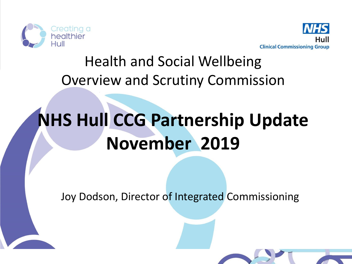



#### Health and Social Wellbeing Overview and Scrutiny Commission

# **NHS Hull CCG Partnership Update November 2019**

Joy Dodson, Director of Integrated Commissioning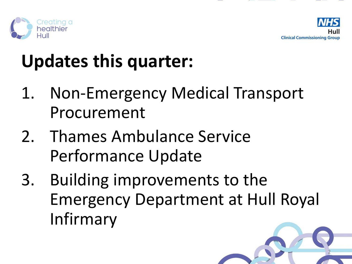



# **Updates this quarter:**

- 1. Non-Emergency Medical Transport Procurement
- 2. Thames Ambulance Service Performance Update
- 3. Building improvements to the Emergency Department at Hull Royal Infirmary

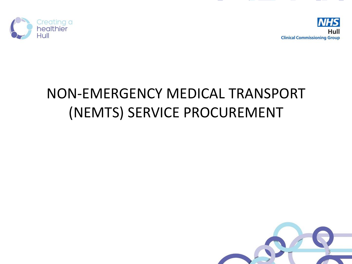



#### NON-EMERGENCY MEDICAL TRANSPORT (NEMTS) SERVICE PROCUREMENT

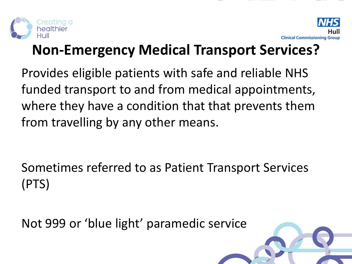



#### **Non-Emergency Medical Transport Services?**

Provides eligible patients with safe and reliable NHS funded transport to and from medical appointments, where they have a condition that that prevents them from travelling by any other means.

Sometimes referred to as Patient Transport Services (PTS)

Not 999 or 'blue light' paramedic service

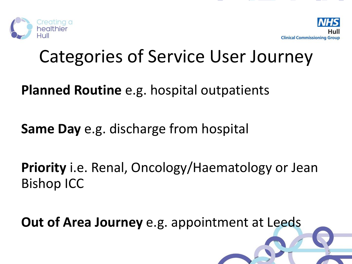



5

## Categories of Service User Journey

**Planned Routine** e.g. hospital outpatients

**Same Day** e.g. discharge from hospital

**Priority** i.e. Renal, Oncology/Haematology or Jean Bishop ICC

**Out of Area Journey** e.g. appointment at Leeds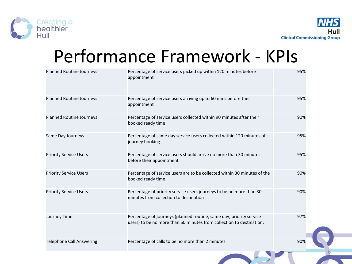

6

# Performance Framework - KPIs

| <b>Planned Routine Journeys</b> | Percentage of service users picked up within 120 minutes before<br>appointment                                                              | 95% |
|---------------------------------|---------------------------------------------------------------------------------------------------------------------------------------------|-----|
| <b>Planned Routine Journeys</b> | Percentage of service users arriving up to 60 mins before their<br>appointment                                                              | 95% |
| <b>Planned Routine Journeys</b> | Percentage of service users collected within 90 minutes after their<br>booked ready time                                                    | 90% |
| Same Day Journeys               | Percentage of same day service users collected within 120 minutes of<br>journey booking                                                     | 95% |
| <b>Priority Service Users</b>   | Percentage of service users should arrive no more than 30 minutes<br>before their appointment                                               | 95% |
| <b>Priority Service Users</b>   | Percentage of service users are to be collected within 30 minutes of the<br>booked ready time                                               | 90% |
| <b>Priority Service Users</b>   | Percentage of priority service users journeys to be no more than 30<br>minutes from collection to destination                               | 90% |
| Journey Time                    | Percentage of journeys (planned routine; same day; priority service<br>users) to be no more than 60 minutes from collection to destination; | 97% |
| <b>Telephone Call Answering</b> | Percentage of calls to be no more than 2 minutes                                                                                            | 90% |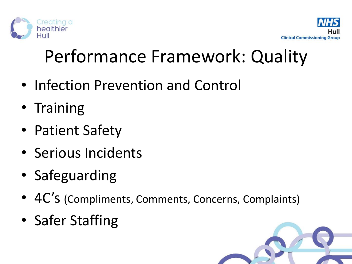



# Performance Framework: Quality

- Infection Prevention and Control
- Training
- Patient Safety
- Serious Incidents
- Safeguarding
- 4C's (Compliments, Comments, Concerns, Complaints)
- Safer Staffing

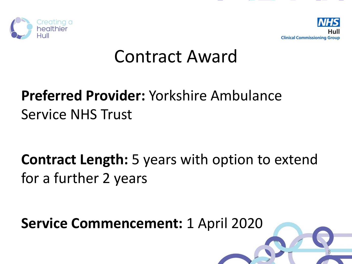



### Contract Award

#### **Preferred Provider:** Yorkshire Ambulance Service NHS Trust

**Contract Length:** 5 years with option to extend for a further 2 years

**Service Commencement:** 1 April 2020

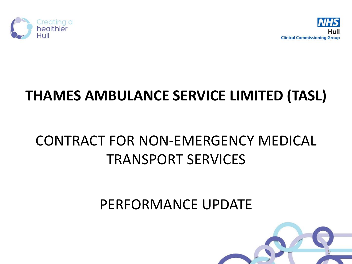



#### **THAMES AMBULANCE SERVICE LIMITED (TASL)**

#### CONTRACT FOR NON-EMERGENCY MEDICAL TRANSPORT SERVICES

#### PERFORMANCE UPDATE

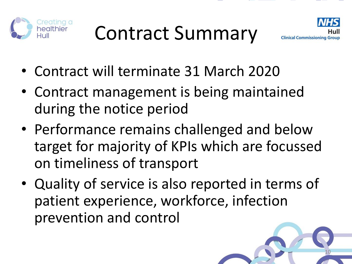



- Contract will terminate 31 March 2020
- Contract management is being maintained during the notice period
- Performance remains challenged and below target for majority of KPIs which are focussed on timeliness of transport
- Quality of service is also reported in terms of patient experience, workforce, infection prevention and control

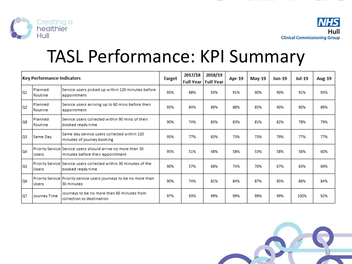

### TASL Performance: KPI Summary

| <b>Key Performance Indicators</b> |                    | <b>Target</b>                                                                                    | 2017/18 | 2018/19<br><b>Full Year   Full Year</b> | Apr-19 | <b>May-19</b> | <b>Jun-19</b> | <b>Jul-19</b> | <b>Aug-19</b> |     |
|-----------------------------------|--------------------|--------------------------------------------------------------------------------------------------|---------|-----------------------------------------|--------|---------------|---------------|---------------|---------------|-----|
| 01                                | Planned<br>Routine | Service users picked up within 120 minutes before<br>appointment                                 | 95%     | 88%                                     | 93%    | 91%           | 90%           | 90%           | 91%           | 93% |
| 02                                | Planned<br>Routine | Service users arriving up to 60 mins before their<br>appointment                                 | 95%     | 84%                                     | 89%    | 88%           | 85%           | 90%           | 90%           | 89% |
| <b>Q8</b>                         | Planned<br>Routine | Service users collected within 90 mins of their<br>booked ready time                             | 90%     | 74%                                     | 83%    | 83%           | 81%           | 82%           | 78%           | 79% |
| O <sub>3</sub>                    | Same Day           | Same day service users collected within 120<br>minutes of journey booking                        | 95%     | 77%                                     | 83%    | 73%           | 73%           | 79%           | 77%           | 77% |
| 04                                | <b>Users</b>       | Priority Service Service users should arrive no more than 30<br>minutes before their appointment | 95%     | 51%                                     | 48%    | 58%           | 53%           | 58%           | 56%           | 60% |
| los                               | <b>Users</b>       | Priority Service Service users collected within 30 minutes of the<br>booked ready time           | 90%     | 57%                                     | 68%    | 74%           | 70%           | 67%           | 65%           | 69% |
| <b>Q6</b>                         | <b>Users</b>       | Priority Service Priority service users journeys to be no more than<br>30 minutes                | 90%     | 74%                                     | 81%    | 84%           | 87%           | 85%           | 86%           | 84% |
| Q7                                | Journey Time       | Journeys to be no more than 60 minutes from<br>collection to destination                         | 97%     | 93%                                     | 99%    | 99%           | 99%           | 99%           | 100%          | 92% |

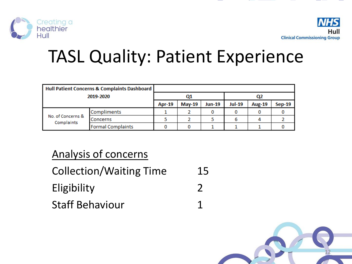



# TASL Quality: Patient Experience

| Hull Patient Concerns & Complaints Dashboard |                          |               |               |               |               |               |  |
|----------------------------------------------|--------------------------|---------------|---------------|---------------|---------------|---------------|--|
| 2019-2020                                    |                          |               | Ο1            |               | Q2            |               |  |
|                                              | <b>Apr-19</b>            | <b>May-19</b> | <b>Jun-19</b> | <b>Jul-19</b> | <b>Aug-19</b> | <b>Sep-19</b> |  |
|                                              | Compliments              |               |               |               |               |               |  |
| No. of Concerns &<br>Complaints              | <b>Concerns</b>          |               |               |               |               |               |  |
|                                              | <b>Formal Complaints</b> |               |               |               |               |               |  |

#### Analysis of concerns

| <b>Collection/Waiting Time</b> | 15           |
|--------------------------------|--------------|
| Eligibility                    | <sup>2</sup> |
| <b>Staff Behaviour</b>         |              |

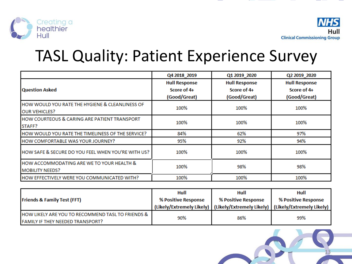

### TASL Quality: Patient Experience Survey

|                                                                                | Q4 2018_2019                                        | Q1 2019 2020                                        | Q2 2019 2020                                        |
|--------------------------------------------------------------------------------|-----------------------------------------------------|-----------------------------------------------------|-----------------------------------------------------|
| <b>Question Asked</b>                                                          | <b>Hull Response</b><br>Score of 4+<br>(Good/Great) | <b>Hull Response</b><br>Score of 4+<br>(Good/Great) | <b>Hull Response</b><br>Score of 4+<br>(Good/Great) |
| HOW WOULD YOU RATE THE HYGIENE & CLEANLINESS OF<br><b>OUR VEHICLES?</b>        | 100%                                                | 100%                                                | 100%                                                |
| HOW COURTEOUS & CARING ARE PATIENT TRANSPORT<br>STAFF?                         | 100%                                                | 100%                                                | 100%                                                |
| HOW WOULD YOU RATE THE TIMELINESS OF THE SERVICE?                              | 84%                                                 | 62%                                                 | 97%                                                 |
| HOW COMFORTABLE WAS YOUR JOURNEY?                                              | 95%                                                 | 92%                                                 | 94%                                                 |
| HOW SAFE & SECURE DO YOU FEEL WHEN YOU'RE WITH US?                             | 100%                                                | 100%                                                | 100%                                                |
| <b>HOW ACCOMMODATING ARE WE TO YOUR HEALTH &amp;</b><br><b>MOBILITY NEEDS?</b> | 100%                                                | 98%                                                 | 98%                                                 |
| HOW EFFECTIVELY WERE YOU COMMUNICATED WITH?                                    | 100%                                                | 100%                                                | 100%                                                |

| <b>Friends &amp; Family Test (FFT)</b>                                                       | Hull<br>% Positive Response | Hull<br>% Positive Response | Hull<br>% Positive Response                                                       |  |
|----------------------------------------------------------------------------------------------|-----------------------------|-----------------------------|-----------------------------------------------------------------------------------|--|
|                                                                                              |                             |                             | (Likely/Extremely Likely)   (Likely/Extremely Likely)   (Likely/Extremely Likely) |  |
| HOW LIKELY ARE YOU TO RECOMMEND TASL TO FRIENDS &<br><b>FAMILY IF THEY NEEDED TRANSPORT?</b> | 90%                         | 86%                         | 99%                                                                               |  |

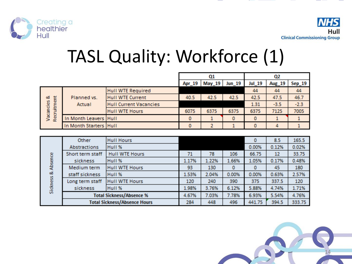

# TASL Quality: Workforce (1)

|                                |                        |                               | Q1     |        |        | Q2     |        |        |
|--------------------------------|------------------------|-------------------------------|--------|--------|--------|--------|--------|--------|
|                                |                        |                               | Apr_19 | May 19 | Jun_19 | Jul 19 | Aug_19 | Sep_19 |
| Recruitment<br>ಂತ<br>Vacancies |                        | <b>Hull WTE Required</b>      |        |        |        | 44     | 44     | 44     |
|                                | Planned vs.<br>Actual  | <b>Hull WTE Current</b>       | 40.5   | 42.5   | 42.5   | 42.5   | 47.5   | 46.7   |
|                                |                        | <b>Hull Current Vacancies</b> |        |        |        | 1.31   | $-3.5$ | $-2.3$ |
|                                |                        | <b>Hull WTE Hours</b>         | 6075   | 6375   | 6375   | 6375   | 7125   | 7005   |
|                                | In Month Leavers Hull  |                               | 0      |        | 0      | 0      |        |        |
|                                | In Month Starters Hull |                               | 0      |        |        | 0      |        |        |

|           | <b>Other</b>             | <b>Hull Hours</b>                   |       |       |       | 0      | 8.5   | 165.5  |
|-----------|--------------------------|-------------------------------------|-------|-------|-------|--------|-------|--------|
|           | Abstractions             | Hull %                              |       |       |       | 0.00%  | 0.12% | 0.02%  |
|           | Short term staff         | <b>Hull WTE Hours</b>               | 71    | 78    | 106   | 66.75  | 12    | 33.75  |
| & Absence | sickness                 | Hull %                              | 1.17% | 1.22% | 1.66% | 1.05%  | 0.17% | 0.48%  |
|           | Medium term              | Hull WTE Hours                      | 93    | 130   | ٥     | 0      | 45    | 180    |
|           | staff sickness           | Hull %                              | 1.53% | 2.04% | 0.00% | 0.00%  | 0.63% | 2.57%  |
|           | Long term staff          | Hull WTE Hours                      | 120   | 240   | 390   | 375    | 337.5 | 120    |
| Sickness  | sickness                 | Hull %                              | 1.98% | 3.76% | 6.12% | 5.88%  | 4.74% | 1.71%  |
|           | Total Sickness/Absence % |                                     | 4.67% | 7.03% | 7.78% | 6.93%  | 5.54% | 4.76%  |
|           |                          | <b>Total Sickness/Absence Hours</b> | 284   | 448   | 496   | 441.75 | 394.5 | 333.75 |

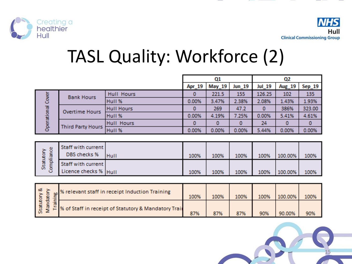

# TASL Quality: Workforce (2)

|             | Q1                                 |                   |        |               | Q2     |          |                   |         |
|-------------|------------------------------------|-------------------|--------|---------------|--------|----------|-------------------|---------|
|             |                                    |                   | Apr_19 | <b>May_19</b> | Jun_19 | Jul_19   | Aug_19            | Sep_19  |
|             | <b>Bank Hours</b>                  | Hull Hours        | 0      | 221.5         | 155    | 126.25   | 102               | 135     |
| Cover       |                                    | Hull %            | 0.00%  | 3.47%         | 2.38%  | 2.08%    | 1.43%             | 1.93%   |
| Operational | <b>Overtime Hours</b>              | <b>Hull Hours</b> | 0      | 269           | 47.2   | $\bf{0}$ | 386%              | 323.00  |
|             |                                    | Hull %            | 0.00%  | 4.19%         | 7.25%  | 0.00%    | 5.41%             | 4.61%   |
|             | <b>Third Party Hours</b>           | <b>Hull Hours</b> | 0      | 0             | 0      | 24       | $\bf{0}$          | 0       |
|             |                                    | Hull %            | 0.00%  | 0.00%         | 0.00%  | 5.44%    | 0.00%             | 0.00%   |
|             |                                    |                   |        |               |        |          |                   |         |
| ince<br>हे  | Staff with current<br>DRS checks % | 111.111           | 475767 | 475767        | 475747 | 4.00007  | <b>A CULTURAL</b> | 4757457 |

| -<br>-<br>늚 | DBS checks %          | Hull | 100% | 100% | 100% | 100% | 100.00% | 100% |
|-------------|-----------------------|------|------|------|------|------|---------|------|
| ō<br>÷<br>폡 | Staff with current    |      |      |      |      |      |         |      |
| ā<br>Ŵ.     | Licence checks % Hull |      | 100% | 100% | 100% | 100% | 100.00% | 100% |

| ಿ | % relevant staff in receipt Induction Training         | 100% | 100% | 100% | 100% | 100.00% | 100% |
|---|--------------------------------------------------------|------|------|------|------|---------|------|
|   | F % of Staff in receipt of Statutory & Mandatory Train | 87%  | 87%  | 87%  | 90%  | 90.00%  | 90%  |

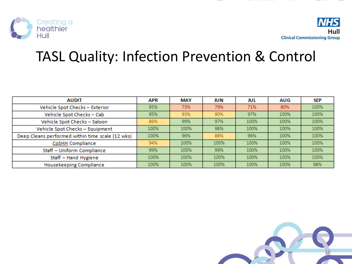

#### TASL Quality: Infection Prevention & Control

| <b>AUDIT</b>                                     | APR  | <b>MAY</b> | JUN  | JUL  | AUG  | <b>SEP</b> |
|--------------------------------------------------|------|------------|------|------|------|------------|
| Vehicle Spot Checks - Exterior                   | 95%  | 73%        | 79%  | 71%  | 80%  | 100%       |
| Vehicle Spot Checks - Cab                        | 95%  | 93%        | 90%  | 97%  | 100% | 100%       |
| Vehicle Spot Checks - Saloon                     | 86%  | 99%        | 97%  | 100% | 100% | 100%       |
| Vehicle Spot Checks - Equipment                  | 100% | 100%       | 98%  | 100% | 100% | 100%       |
| Deep Cleans performed within time scale (12 wks) | 100% | 96%        | 88%  | 96%  | 100% | 100%       |
| CoSHH Compliance                                 | 94%  | 100%       | 100% | 100% | 100% | 100%       |
| Staff - Uniform Compliance                       | 99%  | 100%       | 99%  | 100% | 100% | 100%       |
| Staff - Hand Hygiene                             | 100% | 100%       | 100% | 100% | 100% | 100%       |
| Housekeeping Compliance                          | 100% | 100%       | 100% | 100% | 100% | 98%        |

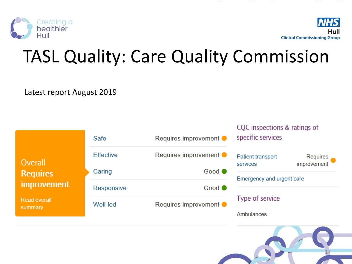



# TASL Quality: Care Quality Commission

Latest report August 2019

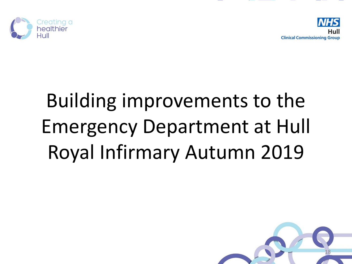



# Building improvements to the Emergency Department at Hull Royal Infirmary Autumn 2019

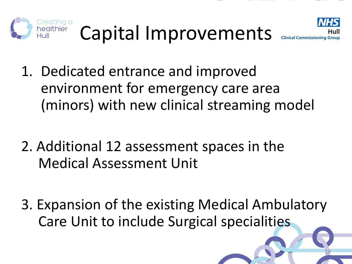



19

- 1. Dedicated entrance and improved environment for emergency care area (minors) with new clinical streaming model
- 2. Additional 12 assessment spaces in the Medical Assessment Unit
- 3. Expansion of the existing Medical Ambulatory Care Unit to include Surgical specialities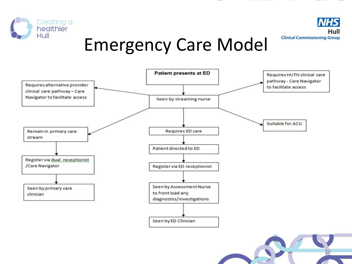

### Emergency Care Model